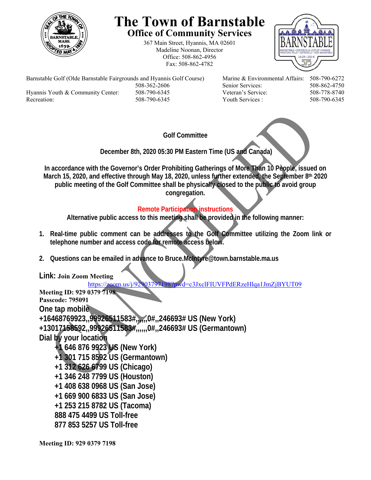

## **The Town of Barnstable Office of Community Services**

367 Main Street, Hyannis, MA 02601 Madeline Noonan, Director Office: 508-862-4956 Fax: 508-862-4782



Barnstable Golf (Olde Barnstable Fairgrounds and Hyannis Golf Course) Marine & Environmental Affairs: 508-790-6272 508-362-2606 Senior Services: 508-862-4750 Hyannis Youth & Community Center: 508-790-6345 Veteran's Service: 508-778-8740 Recreation: 508-790-6345 Youth Services : 508-790-6345

**Golf Committee** 

 **December 8th, 2020 05:30 PM Eastern Time (US and Canada)** 

**In accordance with the Governor's Order Prohibiting Gatherings of More Than 10 People, issued on March 15, 2020, and effective through May 18, 2020, unless further extended, the September 8th 2020 public meeting of the Golf Committee shall be physically closed to the public to avoid group congregation.** 

## **Remote Participation instructions**

**Alternative public access to this meeting shall be provided in the following manner:** 

- **1. Real-time public comment can be addresses to the Golf Committee utilizing the Zoom link or telephone number and access code for remote access below.**
- **2. Questions can be emailed in advance to Bruce.McIntyre@town.barnstable.ma.us**

**Link: Join Zoom Meeting** 

https://zoom.us/j/92903797198?pwd=c3JxclFIUVFPdERzeHlqa1JmZjBYUT09

**Meeting ID: 929 0379 7198 Passcode: 795091 One tap mobile +16468769923,,99926511583#,,,,,,0#,,246693# US (New York) +13017158592,,99926511583#,,,,,,0#,,246693# US (Germantown) Dial by your location +1 646 876 9923 US (New York) +1 301 715 8592 US (Germantown) +1 312 626 6799 US (Chicago) +1 346 248 7799 US (Houston) +1 408 638 0968 US (San Jose) +1 669 900 6833 US (San Jose) +1 253 215 8782 US (Tacoma) 888 475 4499 US Toll-free 877 853 5257 US Toll-free** 

**Meeting ID: 929 0379 7198**